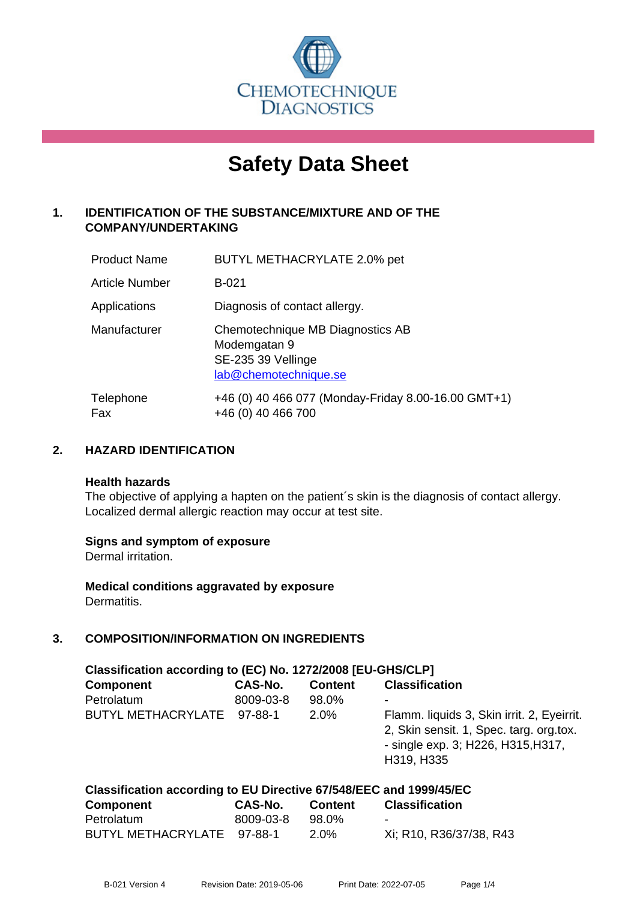

# **Safety Data Sheet**

# **1. IDENTIFICATION OF THE SUBSTANCE/MIXTURE AND OF THE COMPANY/UNDERTAKING**

| <b>Product Name</b> | BUTYL METHACRYLATE 2.0% pet                                                                     |
|---------------------|-------------------------------------------------------------------------------------------------|
| Article Number      | <b>B-021</b>                                                                                    |
| Applications        | Diagnosis of contact allergy.                                                                   |
| Manufacturer        | Chemotechnique MB Diagnostics AB<br>Modemgatan 9<br>SE-235 39 Vellinge<br>lab@chemotechnique.se |
| Telephone<br>Fax    | +46 (0) 40 466 077 (Monday-Friday 8.00-16.00 GMT+1)<br>+46 (0) 40 466 700                       |

# **2. HAZARD IDENTIFICATION**

#### **Health hazards**

The objective of applying a hapten on the patient's skin is the diagnosis of contact allergy. Localized dermal allergic reaction may occur at test site.

#### **Signs and symptom of exposure**

Dermal irritation.

**Medical conditions aggravated by exposure** Dermatitis.

# **3. COMPOSITION/INFORMATION ON INGREDIENTS**

| Classification according to (EC) No. 1272/2008 [EU-GHS/CLP]        |           |                |                                                                                                                                           |
|--------------------------------------------------------------------|-----------|----------------|-------------------------------------------------------------------------------------------------------------------------------------------|
| <b>Component</b>                                                   | CAS-No.   | <b>Content</b> | <b>Classification</b>                                                                                                                     |
| Petrolatum                                                         | 8009-03-8 | 98.0%          |                                                                                                                                           |
| BUTYL METHACRYLATE 97-88-1                                         |           | 2.0%           | Flamm. liquids 3, Skin irrit. 2, Eyeirrit.<br>2, Skin sensit. 1, Spec. targ. org.tox.<br>- single exp. 3; H226, H315, H317,<br>H319, H335 |
| Classification according to EU Directive 67/548/EEC and 1999/45/EC |           |                |                                                                                                                                           |

| <b>Component</b>           | CAS-No.   | <b>Content</b> | <b>Classification</b>   |
|----------------------------|-----------|----------------|-------------------------|
| Petrolatum                 | 8009-03-8 | 98.0%          | $\sim$                  |
| BUTYL METHACRYLATE 97-88-1 |           | $2.0\%$        | Xi; R10, R36/37/38, R43 |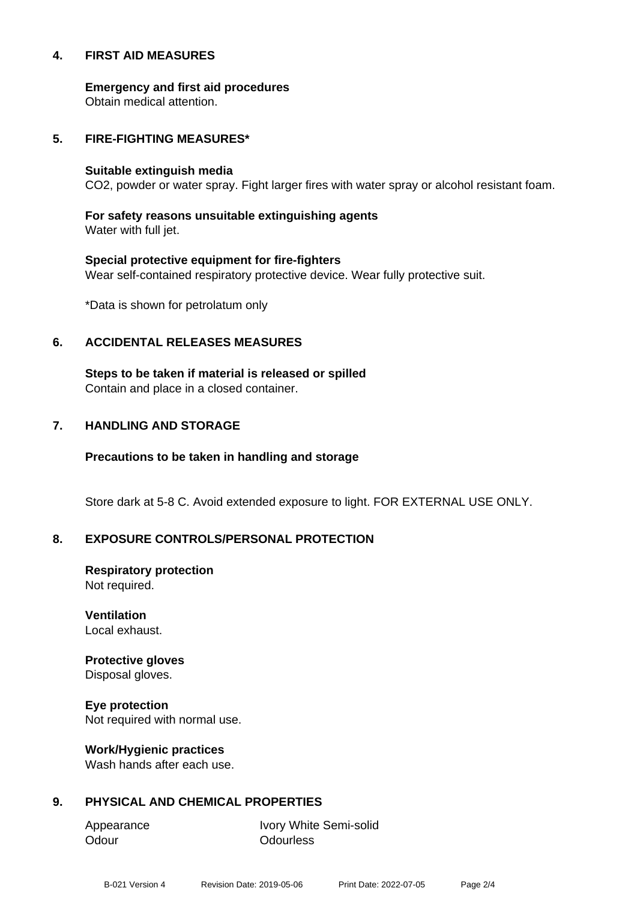#### **4. FIRST AID MEASURES**

**Emergency and first aid procedures** Obtain medical attention.

#### **5. FIRE-FIGHTING MEASURES\***

#### **Suitable extinguish media**

CO2, powder or water spray. Fight larger fires with water spray or alcohol resistant foam.

#### **For safety reasons unsuitable extinguishing agents** Water with full jet.

# **Special protective equipment for fire-fighters** Wear self-contained respiratory protective device. Wear fully protective suit.

\*Data is shown for petrolatum only

#### **6. ACCIDENTAL RELEASES MEASURES**

**Steps to be taken if material is released or spilled** Contain and place in a closed container.

#### **7. HANDLING AND STORAGE**

#### **Precautions to be taken in handling and storage**

Store dark at 5-8 C. Avoid extended exposure to light. FOR EXTERNAL USE ONLY.

#### **8. EXPOSURE CONTROLS/PERSONAL PROTECTION**

**Respiratory protection** Not required.

**Ventilation** Local exhaust.

# **Protective gloves**

Disposal gloves.

**Eye protection** Not required with normal use.

#### **Work/Hygienic practices**

Wash hands after each use.

# **9. PHYSICAL AND CHEMICAL PROPERTIES**

Odour **Odourless** 

Appearance Ivory White Semi-solid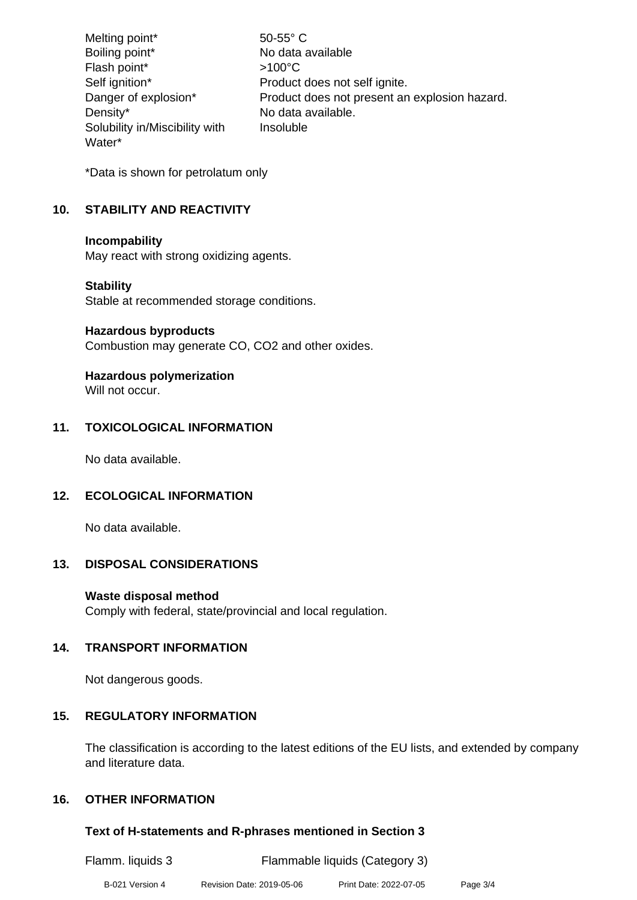| Melting point*                 | $50-55^{\circ}$ C                             |
|--------------------------------|-----------------------------------------------|
| Boiling point*                 | No data available                             |
| Flash point*                   | $>100^{\circ}$ C                              |
| Self ignition*                 | Product does not self ignite.                 |
| Danger of explosion*           | Product does not present an explosion hazard. |
| Density*                       | No data available.                            |
| Solubility in/Miscibility with | Insoluble                                     |
| Water*                         |                                               |

\*Data is shown for petrolatum only

# **10. STABILITY AND REACTIVITY**

#### **Incompability**

May react with strong oxidizing agents.

#### **Stability**

Stable at recommended storage conditions.

# **Hazardous byproducts**

Combustion may generate CO, CO2 and other oxides.

# **Hazardous polymerization**

Will not occur.

# **11. TOXICOLOGICAL INFORMATION**

No data available.

# **12. ECOLOGICAL INFORMATION**

No data available.

# **13. DISPOSAL CONSIDERATIONS**

**Waste disposal method** Comply with federal, state/provincial and local regulation.

# **14. TRANSPORT INFORMATION**

Not dangerous goods.

#### **15. REGULATORY INFORMATION**

The classification is according to the latest editions of the EU lists, and extended by company and literature data.

#### **16. OTHER INFORMATION**

#### **Text of H-statements and R-phrases mentioned in Section 3**

| Flamm. liquids 3 |                           | Flammable liquids (Category 3) |          |
|------------------|---------------------------|--------------------------------|----------|
| B-021 Version 4  | Revision Date: 2019-05-06 | Print Date: 2022-07-05         | Page 3/4 |